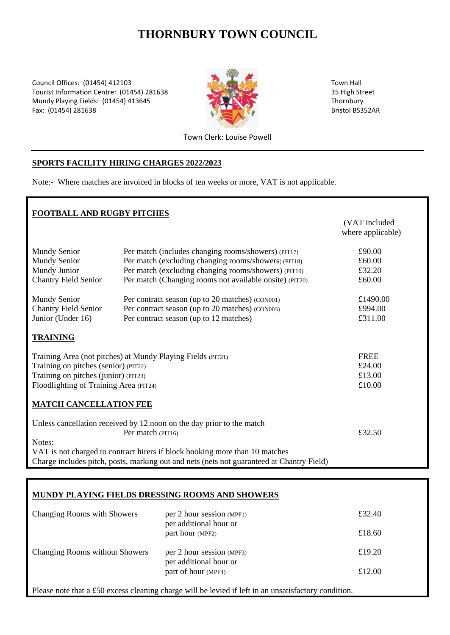# **THORNBURY TOWN COUNCIL**

Council Offices: (01454) 412103 Town Hall Tourist Information Centre: (01454) 281638 35 High Street Mundy Playing Fields: (01454) 413645 Thornbury Thornbury Fax: (01454) 281638 Bristol BS352AR



Town Clerk: Louise Powell

#### **SPORTS FACILITY HIRING CHARGES 2022/2023**

Note:- Where matches are invoiced in blocks of ten weeks or more, VAT is not applicable.

| FOOTBALL AND RUGBY PITCHES                                                                |                                                         |                                    |  |  |
|-------------------------------------------------------------------------------------------|---------------------------------------------------------|------------------------------------|--|--|
|                                                                                           |                                                         | (VAT included<br>where applicable) |  |  |
| Mundy Senior                                                                              | Per match (includes changing rooms/showers) (PIT17)     | £90.00                             |  |  |
| <b>Mundy Senior</b>                                                                       | Per match (excluding changing rooms/showers) (PIT18)    | £60.00                             |  |  |
| Mundy Junior                                                                              | Per match (excluding changing rooms/showers) (PIT19)    | £32.20                             |  |  |
| <b>Chantry Field Senior</b>                                                               | Per match (Changing rooms not available onsite) (PIT20) | £60.00                             |  |  |
| <b>Mundy Senior</b>                                                                       | Per contract season (up to 20 matches) (CON001)         | £1490.00                           |  |  |
| <b>Chantry Field Senior</b>                                                               | Per contract season (up to 20 matches) (CON003)         | £994.00                            |  |  |
| Junior (Under 16)                                                                         | Per contract season (up to 12 matches)                  | £311.00                            |  |  |
| <b>TRAINING</b>                                                                           |                                                         |                                    |  |  |
| Training Area (not pitches) at Mundy Playing Fields (PIT21)                               |                                                         | <b>FREE</b>                        |  |  |
| Training on pitches (senior) (PIT22)                                                      |                                                         | £24.00                             |  |  |
| Training on pitches (junior) (PIT23)                                                      |                                                         | £13.00                             |  |  |
| Floodlighting of Training Area (PIT24)                                                    |                                                         | £10.00                             |  |  |
| <b>MATCH CANCELLATION FEE</b>                                                             |                                                         |                                    |  |  |
| Unless cancellation received by 12 noon on the day prior to the match                     |                                                         |                                    |  |  |
|                                                                                           | Per match (PIT16)                                       | £32.50                             |  |  |
| Notes:                                                                                    |                                                         |                                    |  |  |
| VAT is not charged to contract hirers if block booking more than 10 matches               |                                                         |                                    |  |  |
| Charge includes pitch, posts, marking out and nets (nets not guaranteed at Chantry Field) |                                                         |                                    |  |  |

### **MUNDY PLAYING FIELDS DRESSING ROOMS AND SHOWERS**

| Changing Rooms with Showers           | per 2 hour session (MPF1)<br>per additional hour or | £32.40 |
|---------------------------------------|-----------------------------------------------------|--------|
|                                       | part hour (MPF2)                                    | £18.60 |
| <b>Changing Rooms without Showers</b> | per 2 hour session (MPF3)<br>per additional hour or | £19.20 |
|                                       | part of hour (MPF4)                                 | £12.00 |

Please note that a £50 excess cleaning charge will be levied if left in an unsatisfactory condition.